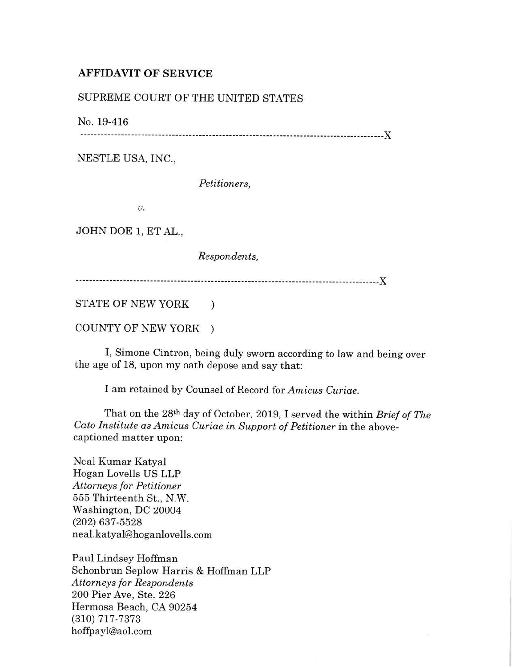## AFFIDAVIT OF SERVICE

## SUPREME COURT OF THE UNITED STATES

No. 19-416

------------------------------------------------------------------------------------------}(

NESTLE USA, INC.,

*Petitioners,* 

*v.* 

JOHN DOE 1, ET AL.,

*Respondents,* 

------------------------------------------------------------------------------------------}(

STATE OF NEW YORK )

COUNTY OF NEW YORK )

I, Simone Cintron, being duly sworn according to law and being over the age of 18, upon my oath depose and say that:

I am retained by Counsel of Record for *Amicus Curiae.* 

That on the 28th day of October, 2019, I served the within *Brief of The Cato Institute as Amicus Curiae in Support of Petitioner* in the abovecaptioned matter upon:

Neal Kumar Katyal Hogan Lovells US LLP *Attorneys for Petitioner*  555 Thirteenth St., N.W. Washington, DC 20004 (202) 637-5528 neal.katyal@hoganlovells.com

Paul Lindsey Hoffman Schonbrun Seplow Harris & Hoffman LLP *Attorneys for Respondents*  200 Pier Ave, Ste. 226 Hermosa Beach, CA 90254 (310) 717-7373 hoffpayl@aol.com